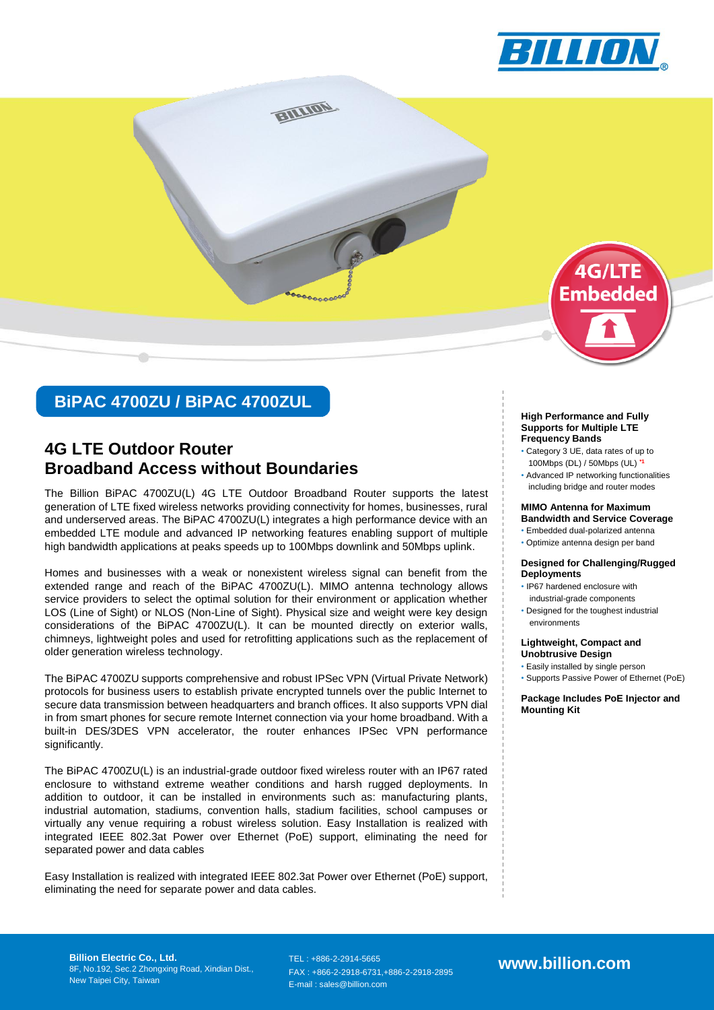



# **BiPAC 4700ZU / BiPAC 4700ZUL**

# **Broadband Access without Boundaries 4G LTE Outdoor Router**

The Billion BiPAC 4700ZU(L) 4G LTE Outdoor Broadband Router supports the latest generation of LTE fixed wireless networks providing connectivity for homes, businesses, rural and underserved areas. The BiPAC 4700ZU(L) integrates a high performance device with an embedded LTE module and advanced IP networking features enabling support of multiple high bandwidth applications at peaks speeds up to 100Mbps downlink and 50Mbps uplink.

Homes and businesses with a weak or nonexistent wireless signal can benefit from the extended range and reach of the BiPAC 4700ZU(L). MIMO antenna technology allows service providers to select the optimal solution for their environment or application whether LOS (Line of Sight) or NLOS (Non-Line of Sight). Physical size and weight were key design considerations of the BiPAC 4700ZU(L). It can be mounted directly on exterior walls, chimneys, lightweight poles and used for retrofitting applications such as the replacement of older generation wireless technology.

The BiPAC 4700ZU supports comprehensive and robust IPSec VPN (Virtual Private Network) protocols for business users to establish private encrypted tunnels over the public Internet to secure data transmission between headquarters and branch offices. It also supports VPN dial in from smart phones for secure remote Internet connection via your home broadband. With a built-in DES/3DES VPN accelerator, the router enhances IPSec VPN performance significantly.

The BiPAC 4700ZU(L) is an industrial-grade outdoor fixed wireless router with an IP67 rated enclosure to withstand extreme weather conditions and harsh rugged deployments. In addition to outdoor, it can be installed in environments such as: manufacturing plants, industrial automation, stadiums, convention halls, stadium facilities, school campuses or virtually any venue requiring a robust wireless solution. Easy Installation is realized with integrated IEEE 802.3at Power over Ethernet (PoE) support, eliminating the need for separated power and data cables

Easy Installation is realized with integrated IEEE 802.3at Power over Ethernet (PoE) support, eliminating the need for separate power and data cables.

#### **High Performance and Fully Supports for Multiple LTE Frequency Bands**

- Category 3 UE, data rates of up to 100Mbps (DL) / 50Mbps (UL) **\*1**
- Advanced IP networking functionalities including bridge and router modes

#### **MIMO Antenna for Maximum Bandwidth and Service Coverage**

- Embedded dual-polarized antenna
- Optimize antenna design per band

#### **Designed for Challenging/Rugged Deployments**

- IP67 hardened enclosure with industrial-grade components
- Designed for the toughest industrial environments

#### **Lightweight, Compact and Unobtrusive Design**

- Easily installed by single person
- Supports Passive Power of Ethernet (PoE)

**Package Includes PoE Injector and Mounting Kit**

**Billion Electric Co., Ltd.** 8F, No.192, Sec.2 Zhongxing Road, Xindian Dist., New Taipei City, Taiwan

TEL : +886-2-2914-5665 FAX : +866-2-2918-6731,+886-2-2918-2895 E-mail : sales@billion.com

**www.billion.com**